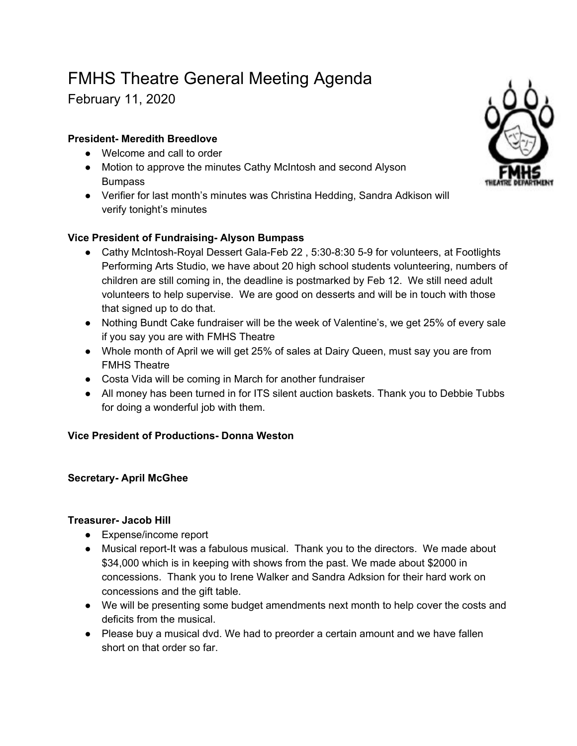# FMHS Theatre General Meeting Agenda

February 11, 2020

## **President- Meredith Breedlove**

- Welcome and call to order
- Motion to approve the minutes Cathy McIntosh and second Alyson Bumpass
- Verifier for last month's minutes was Christina Hedding, Sandra Adkison will verify tonight's minutes

## **Vice President of Fundraising- Alyson Bumpass**

- Cathy McIntosh-Royal Dessert Gala-Feb 22, 5:30-8:30 5-9 for volunteers, at Footlights Performing Arts Studio, we have about 20 high school students volunteering, numbers of children are still coming in, the deadline is postmarked by Feb 12. We still need adult volunteers to help supervise. We are good on desserts and will be in touch with those that signed up to do that.
- Nothing Bundt Cake fundraiser will be the week of Valentine's, we get 25% of every sale if you say you are with FMHS Theatre
- Whole month of April we will get 25% of sales at Dairy Queen, must say you are from FMHS Theatre
- Costa Vida will be coming in March for another fundraiser
- All money has been turned in for ITS silent auction baskets. Thank you to Debbie Tubbs for doing a wonderful job with them.

## **Vice President of Productions- Donna Weston**

### **Secretary- April McGhee**

#### **Treasurer- Jacob Hill**

- Expense/income report
- Musical report-It was a fabulous musical. Thank you to the directors. We made about \$34,000 which is in keeping with shows from the past. We made about \$2000 in concessions. Thank you to Irene Walker and Sandra Adksion for their hard work on concessions and the gift table.
- We will be presenting some budget amendments next month to help cover the costs and deficits from the musical.
- Please buy a musical dvd. We had to preorder a certain amount and we have fallen short on that order so far.

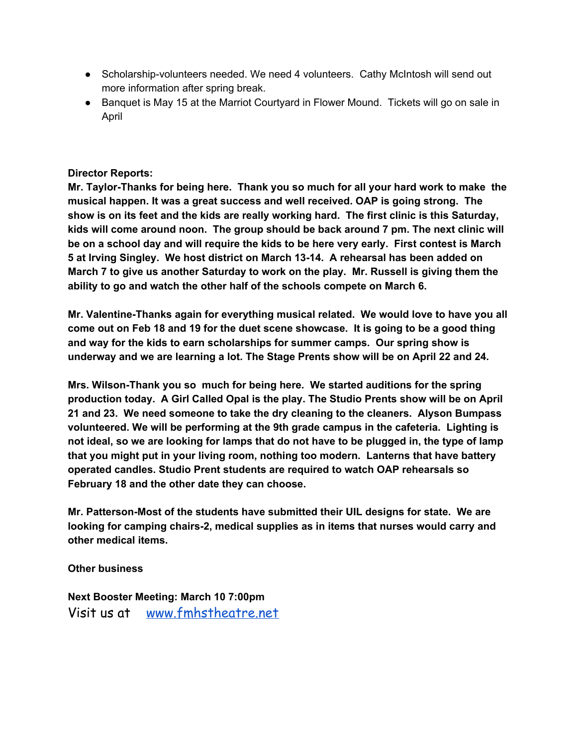- Scholarship-volunteers needed. We need 4 volunteers. Cathy McIntosh will send out more information after spring break.
- Banquet is May 15 at the Marriot Courtyard in Flower Mound. Tickets will go on sale in April

#### **Director Reports:**

**Mr. Taylor-Thanks for being here. Thank you so much for all your hard work to make the musical happen. It was a great success and well received. OAP is going strong. The show is on its feet and the kids are really working hard. The first clinic is this Saturday, kids will come around noon. The group should be back around 7 pm. The next clinic will be on a school day and will require the kids to be here very early. First contest is March 5 at Irving Singley. We host district on March 13-14. A rehearsal has been added on March 7 to give us another Saturday to work on the play. Mr. Russell is giving them the ability to go and watch the other half of the schools compete on March 6.**

**Mr. Valentine-Thanks again for everything musical related. We would love to have you all** come out on Feb 18 and 19 for the duet scene showcase. It is going to be a good thing **and way for the kids to earn scholarships for summer camps. Our spring show is underway and we are learning a lot. The Stage Prents show will be on April 22 and 24.**

**Mrs. Wilson-Thank you so much for being here. We started auditions for the spring production today. A Girl Called Opal is the play. The Studio Prents show will be on April 21 and 23. We need someone to take the dry cleaning to the cleaners. Alyson Bumpass volunteered. We will be performing at the 9th grade campus in the cafeteria. Lighting is** not ideal, so we are looking for lamps that do not have to be plugged in, the type of lamp **that you might put in your living room, nothing too modern. Lanterns that have battery operated candles. Studio Prent students are required to watch OAP rehearsals so February 18 and the other date they can choose.**

**Mr. Patterson-Most of the students have submitted their UIL designs for state. We are looking for camping chairs-2, medical supplies as in items that nurses would carry and other medical items.**

**Other business**

**Next Booster Meeting: March 10 7:00pm** Visit us at [www.fmhstheatre.net](http://www.fmhstheatre.net/)